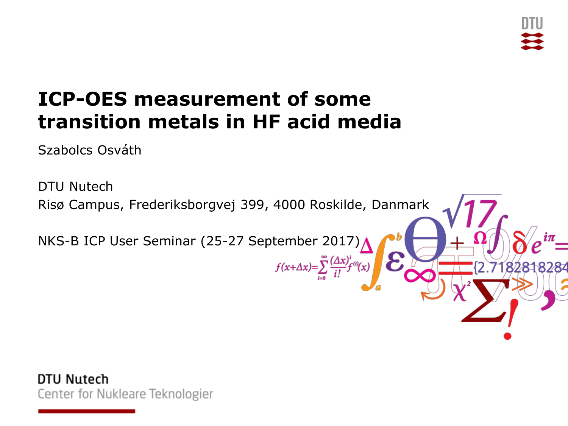

#### **ICP-OES measurement of some transition metals in HF acid media**

Szabolcs Osváth



DTU Nutech Center for Nukleare Teknologier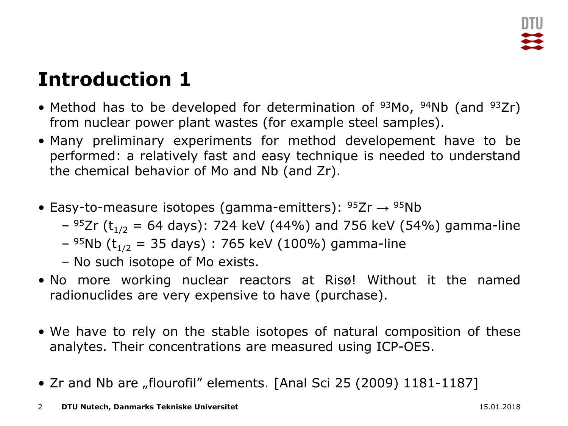# **Introduction 1**

- Method has to be developed for determination of  $93$ Mo,  $94$ Nb (and  $93Zr$ ) from nuclear power plant wastes (for example steel samples).
- Many preliminary experiments for method developement have to be performed: a relatively fast and easy technique is needed to understand the chemical behavior of Mo and Nb (and Zr).
- Easy-to-measure isotopes (gamma-emitters):  $95Zr \rightarrow 95Nb$ 
	- $-$  <sup>95</sup>Zr (t<sub>1/2</sub> = 64 days): 724 keV (44%) and 756 keV (54%) gamma-line
	- $-$  <sup>95</sup>Nb (t<sub>1/2</sub> = 35 days) : 765 keV (100%) gamma-line
	- No such isotope of Mo exists.
- No more working nuclear reactors at Risø! Without it the named radionuclides are very expensive to have (purchase).
- We have to rely on the stable isotopes of natural composition of these analytes. Their concentrations are measured using ICP-OES.
- Zr and Nb are "flourofil" elements. [Anal Sci 25 (2009)  $1181 1187$ ]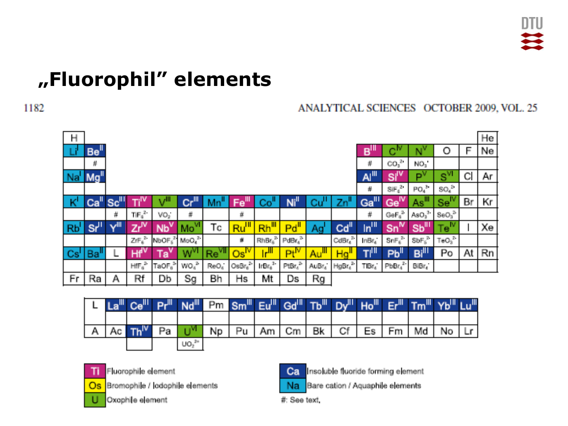

#### **"Fluorophil" elements**

1182

#### ANALYTICAL SCIENCES OCTOBER 2009, VOL. 25

| H              |                             |      |                           |                                                  |                 |                              |                              |                               |                           |                         |                             |                   |                             |                                 |                               |     | He |
|----------------|-----------------------------|------|---------------------------|--------------------------------------------------|-----------------|------------------------------|------------------------------|-------------------------------|---------------------------|-------------------------|-----------------------------|-------------------|-----------------------------|---------------------------------|-------------------------------|-----|----|
|                | Be"                         |      |                           |                                                  |                 |                              | B <sup>T</sup>               | Ć                             |                           | о                       | F                           | Ne                |                             |                                 |                               |     |    |
|                | 県                           |      |                           |                                                  |                 |                              | 萨                            | CO <sub>3</sub> <sup>2</sup>  | NO <sub>3</sub>           |                         |                             |                   |                             |                                 |                               |     |    |
| Na             | $\mathsf{Mg}^{\mathsf{II}}$ |      |                           |                                                  |                 |                              | $\mathsf{Al}^{\mathsf{III}}$ | 'si <sup>v</sup>              | p۷                        | $\mathrm{s}^\textsf{v}$ | C                           | AΓ                |                             |                                 |                               |     |    |
|                |                             |      |                           |                                                  |                 |                              | #                            | $SIF_6^{(2)}$                 | $PO4$ <sup>3</sup>        | $SO_4$ <sup>2</sup>     |                             |                   |                             |                                 |                               |     |    |
| κ              | Ca                          | Sc   |                           | гH                                               | ш<br>Сr         | Mn                           | Fe <sup>III</sup>            | Co                            | Ni"                       | Cu'                     | Zn"                         | Ga <sup>III</sup> | $\mathbf{Ge}^{\mathsf{IV}}$ | $\mathsf{As}^{\mathsf{III}}$    | $\mathbf{Se}^{\mathsf{IV}}$   | Bri | Κr |
|                |                             | #    | $\text{TE}_4^{12}$ .      | VO <sub>2</sub>                                  | #               |                              | ä                            |                               |                           |                         |                             | #                 | GeF $_6^2$ .                | $A \otimes O_3$ <sup>3</sup>    | SeO <sub>3</sub> <sup>2</sup> |     |    |
| R <sub>b</sub> | sr'                         | WIII | $\mathsf{Zr}^\mathsf{IV}$ | N <sub>b</sub> <sup>v</sup>                      | Mo <sup>M</sup> | Тc                           | $Ru^{\parallel\parallel}$    | <mark>Rh<sup>ill</sup></mark> | $Pd^{\text{II}}$          | Ag                      | $\mathsf{Cd}^{\mathsf{II}}$ | $\ln$             | $Sn^{W}$                    | $Sb$ <sup><math>  </math></sup> | <b>Tell</b>                   |     | Xe |
|                |                             |      | $ZrF_6^2$                 | $\textsf{NbOF}_{6}^{-2}$ $\textsf{MoO}_{4}^{-2}$ |                 |                              | ğ.                           | $RhBr_6^2$ .                  | $PdBr_a^2$ .              |                         | $\text{CdBr}_4^{-2}$        | $mBr_{\alpha}$    | $SnF_6^2$ .                 | $SbF_6^2$ .                     | Ге $\mathrm{O_2}^2$ $\mid$    |     |    |
| Cs'            | Ba"                         | ⊢    | Ηf                        | Ta'                                              | W"'             | $\mathrm{Re}^{\mathrm{VII}}$ | $\mathbf{Os}^{\mathsf{IV}}$  | FII                           | $\mathsf{Pt}^\mathsf{IV}$ | Au <sup>lii</sup>       | <b>Ag</b> <sup>y</sup>      | <b>TILL</b>       | Pb <sup>II</sup>            | B <sup>III</sup>                | Po                            | At  | Rn |
|                |                             |      | $\mathsf{HIF_6}^2$        | $TaOF_6^3$                                       | $^{2}$ , CWV    | $\mathsf{ReO}_4$             | $\text{OsBr}_6^{-2}$         | $\mathrm{rBr_6}^3$ .          | $PIBr_{\rm d}^2$ .        | $A \cup B \Gamma_4$     | $HglBr_4^R$                 | $\mathsf{TIBr}_4$ | $PbBr_4^2$                  | BilBr <sub>s</sub>              |                               |     |    |
| Fr             | Ra                          | A    | Rf                        | Db                                               | Sg              | Bh                           | Hs                           | Mt                            | Ds                        | Rg                      |                             |                   |                             |                                 |                               |     |    |

|   | $ La^{\parallel\parallel} $ | اللمط                       | االره | $\mathsf{Nd}^{\mathsf{III}}$ |     | $Pm$ Sm <sup>III</sup> Eu <sup>III</sup> |    | $ \mathbf{Gd}^{III} $ | <b>Tb</b> <sup>III</sup> | $Dy$ <sup>III</sup> Ho <sup>III</sup> |    | $\mathsf{E}\mathsf{r}^{\mathsf{III}}$ | <b>Tmll</b> | l vh <sup>ili</sup> li | $\overline{\phantom{a}}$ |
|---|-----------------------------|-----------------------------|-------|------------------------------|-----|------------------------------------------|----|-----------------------|--------------------------|---------------------------------------|----|---------------------------------------|-------------|------------------------|--------------------------|
|   |                             |                             |       |                              |     |                                          |    |                       |                          |                                       |    |                                       |             |                        |                          |
| А |                             | $\mathsf{Th}^{\mathsf{IV}}$ | Pa    |                              | Np. | Ρu                                       | Am | Cm                    | Βk                       | Сf                                    | Es | Em                                    | Md          | No                     |                          |
|   |                             |                             |       | $UO_2^{(2)}$                 |     |                                          |    |                       |                          |                                       |    |                                       |             |                        |                          |



Fluorophile element

Bromophile / lodophile elements  $\mathbf{Os}$ 





Insoluble fluoride forming element



Bare cation / Aquaphile elements

#: See text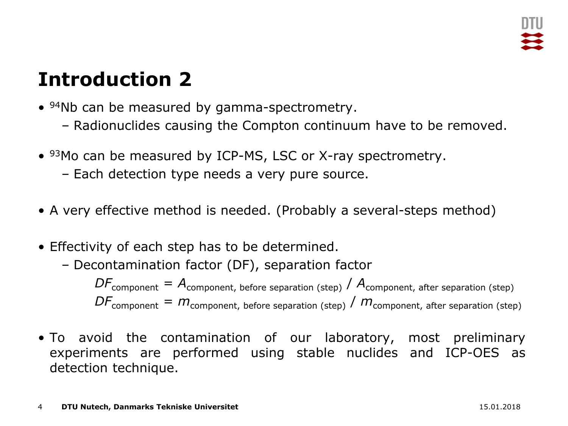# **Introduction 2**

- <sup>94</sup>Nb can be measured by gamma-spectrometry.
	- Radionuclides causing the Compton continuum have to be removed.
- <sup>93</sup>Mo can be measured by ICP-MS, LSC or X-ray spectrometry.
	- Each detection type needs a very pure source.
- A very effective method is needed. (Probably a several-steps method)
- Effectivity of each step has to be determined.
	- Decontamination factor (DF), separation factor

 $DF_{\text{component}} = A_{\text{component}}$ , before separation (step)  $A_{\text{component}}$ , after separation (step)  $DF_{\text{component}} = m_{\text{component}}$ , before separation (step)  $/m_{\text{component}}$ , after separation (step)

• To avoid the contamination of our laboratory, most preliminary experiments are performed using stable nuclides and ICP-OES as detection technique.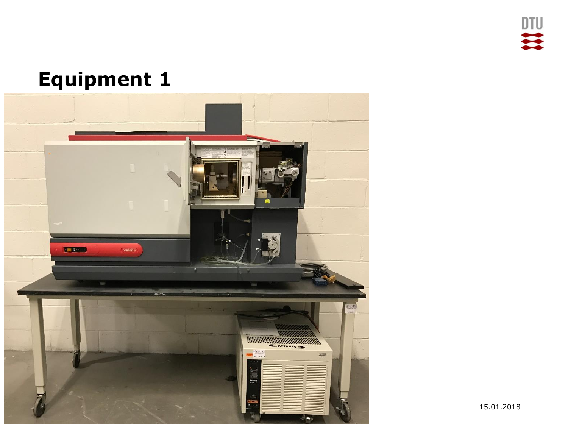

### **Equipment 1**

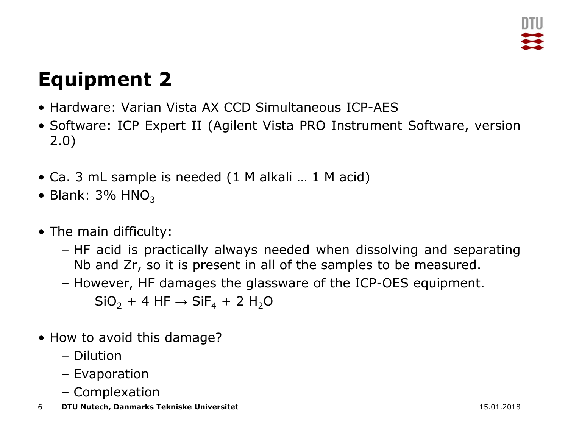# **Equipment 2**

- Hardware: Varian Vista AX CCD Simultaneous ICP-AES
- Software: ICP Expert II (Agilent Vista PRO Instrument Software, version 2.0)
- Ca. 3 mL sample is needed (1 M alkali … 1 M acid)
- Blank:  $3\%$  HNO<sub>3</sub>
- The main difficulty:
	- HF acid is practically always needed when dissolving and separating Nb and Zr, so it is present in all of the samples to be measured.
	- However, HF damages the glassware of the ICP-OES equipment.  $SiO<sub>2</sub> + 4 HF  $\rightarrow$  SiF<sub>4</sub> + 2 H<sub>2</sub>O$
- How to avoid this damage?
	- Dilution
	- Evaporation
	- Complexation
- **DTU Nutech, Danmarks Tekniske Universitet** 6 15.01.2018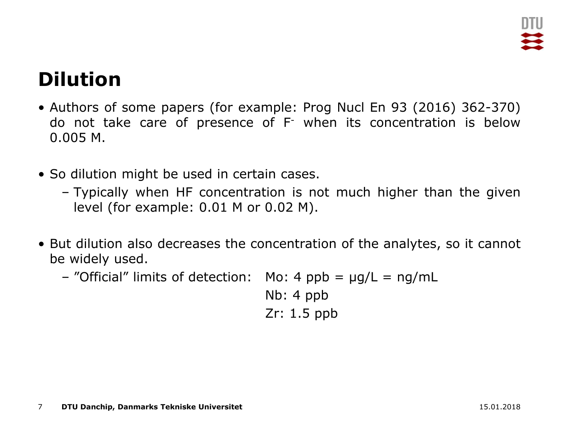# **Dilution**

- Authors of some papers (for example: Prog Nucl En 93 (2016) 362-370) do not take care of presence of F - when its concentration is below 0.005 M.
- So dilution might be used in certain cases.
	- Typically when HF concentration is not much higher than the given level (for example: 0.01 M or 0.02 M).
- But dilution also decreases the concentration of the analytes, so it cannot be widely used.
	- "Official" limits of detection: Mo: 4 ppb =  $\mu$ g/L = ng/mL

Nb: 4 ppb Zr: 1.5 ppb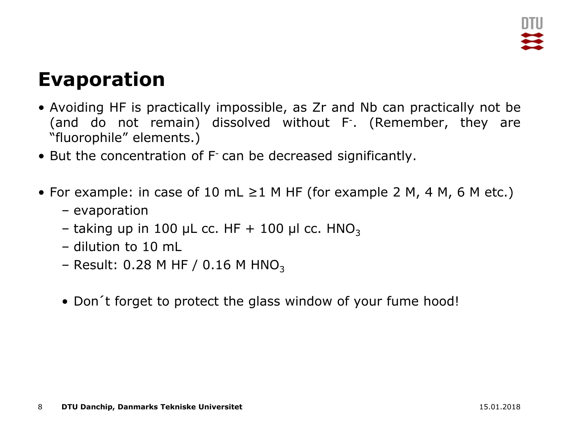### **Evaporation**

- Avoiding HF is practically impossible, as Zr and Nb can practically not be (and do not remain) dissolved without F - . (Remember, they are "fluorophile" elements.)
- But the concentration of F can be decreased significantly.
- For example: in case of 10 mL  $\geq$ 1 M HF (for example 2 M, 4 M, 6 M etc.)
	- evaporation
	- taking up in 100 µL cc. HF + 100 µl cc. HNO<sub>3</sub>
	- dilution to 10 mL
	- Result: 0.28 M HF / 0.16 M HNO<sub>3</sub>
	- Don't forget to protect the glass window of your fume hood!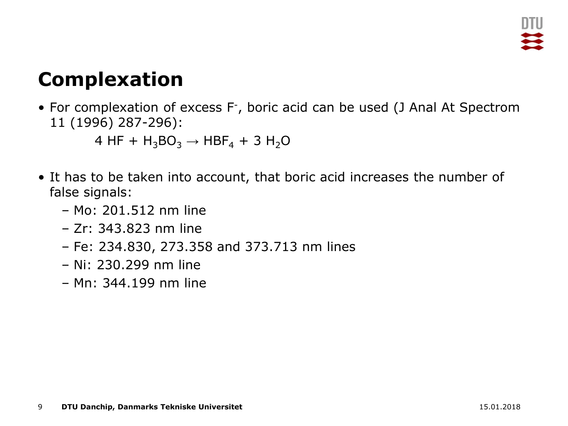# **Complexation**

• For complexation of excess F- , boric acid can be used (J Anal At Spectrom 11 (1996) 287-296):

4 HF +  $H_3BO_3 \rightarrow HBF_4 + 3 H_2O$ 

- It has to be taken into account, that boric acid increases the number of false signals:
	- Mo: 201.512 nm line
	- Zr: 343.823 nm line
	- Fe: 234.830, 273.358 and 373.713 nm lines
	- Ni: 230.299 nm line
	- Mn: 344.199 nm line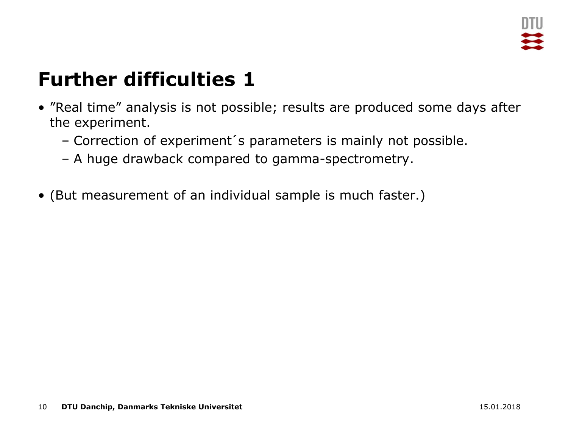# **Further difficulties 1**

- "Real time" analysis is not possible; results are produced some days after the experiment.
	- Correction of experiment´s parameters is mainly not possible.
	- A huge drawback compared to gamma-spectrometry.
- (But measurement of an individual sample is much faster.)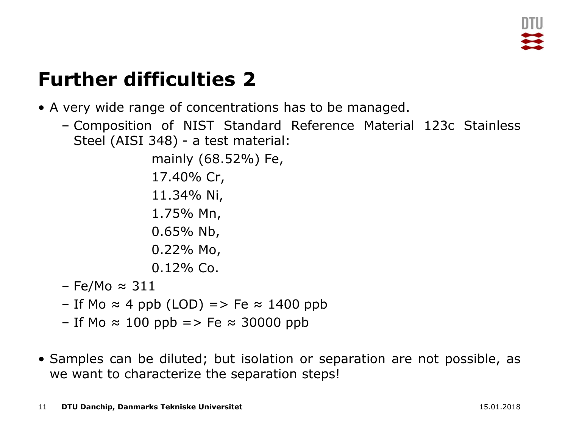### **Further difficulties 2**

- A very wide range of concentrations has to be managed.
	- Composition of NIST Standard Reference Material 123c Stainless Steel (AISI 348) - a test material:

mainly (68.52%) Fe, 17.40% Cr, 11.34% Ni, 1.75% Mn, 0.65% Nb, 0.22% Mo,  $0.12\%$  Co.

- Fe/Mo  $\approx$  311
- If Mo  $\approx$  4 ppb (LOD) => Fe  $\approx$  1400 ppb
- If Mo  $\approx 100$  ppb => Fe  $\approx 30000$  ppb
- Samples can be diluted; but isolation or separation are not possible, as we want to characterize the separation steps!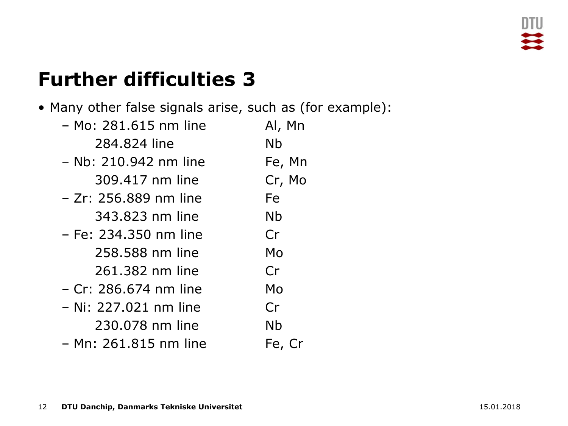# **Further difficulties 3**

#### • Many other false signals arise, such as (for example):

| - Mo: 281.615 nm line | Al, Mn    |
|-----------------------|-----------|
| 284.824 line          | <b>Nb</b> |
| - Nb: 210.942 nm line | Fe, Mn    |
| 309.417 nm line       | Cr, Mo    |
| - Zr: 256.889 nm line | Fe        |
| 343.823 nm line       | Nb        |
| - Fe: 234.350 nm line | Cr        |
| 258,588 nm line       | Mo        |
| 261.382 nm line       | Cr        |
| - Cr: 286.674 nm line | Mo        |
| - Ni: 227.021 nm line | Cr        |
| 230.078 nm line       | Nb        |
| - Mn: 261.815 nm line | Fe, Cr    |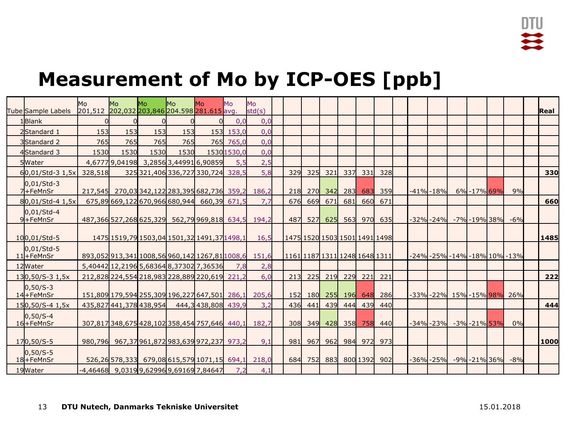

#### **Measurement of Mo by ICP-OES [ppb]**

| Tube Sample Labels                   | Mo<br>201,512 202,032 203,846 204.598 281.615 avg. | Mo                                                   | Mo   | <b>Mo</b>                         | Mo  | Mo             | <b>Mo</b><br>std(s) |            |                               |     |                 |          |         |  |               |                                    |                  |                                                | Real |
|--------------------------------------|----------------------------------------------------|------------------------------------------------------|------|-----------------------------------|-----|----------------|---------------------|------------|-------------------------------|-----|-----------------|----------|---------|--|---------------|------------------------------------|------------------|------------------------------------------------|------|
| L <b>Blank</b>                       |                                                    |                                                      |      |                                   |     | 0 <sub>c</sub> | 0,0                 |            |                               |     |                 |          |         |  |               |                                    |                  |                                                |      |
| 2Standard 1                          | 153                                                | 153                                                  | 153  | 153                               |     | 153 153,0      | 0,0                 |            |                               |     |                 |          |         |  |               |                                    |                  |                                                |      |
| 3Standard 2                          | 765                                                | 765                                                  | 765  | 765                               | 765 | 765,0          | 0,0                 |            |                               |     |                 |          |         |  |               |                                    |                  |                                                |      |
| 4Standard 3                          | 1530                                               | 1530                                                 | 1530 | 1530                              |     | 15301530.0     | 0.0                 |            |                               |     |                 |          |         |  |               |                                    |                  |                                                |      |
| 5Water                               |                                                    | 4,6777 9,04198 3,2856 3,44991 6,90859                |      |                                   |     | 5.5            | 2,5                 |            |                               |     |                 |          |         |  |               |                                    |                  |                                                |      |
| 60,01/Std-3 1,5x                     | 328,518                                            |                                                      |      | 325 321,406 336,727 330,724 328,5 |     |                | 5,8                 | 329        | 325                           | 321 | 337             | 331      | 328     |  |               |                                    |                  |                                                | 330  |
| $0,01/Std-3$<br>7 <sup>+FeMnSr</sup> |                                                    | 217,545 270,03 342,122 283,395 682,736 359,2 186,2   |      |                                   |     |                |                     |            | 218 270 342                   |     | <b>283</b>      |          | 683 359 |  | $-41\% -18\%$ |                                    | 6% -17% 69%      | 9%                                             |      |
| 80,01/Std-4 1,5x                     |                                                    | 675,89 669,122 670,966 680,944 660,39 671,5          |      |                                   |     |                | 7.7                 | 676        | 669                           | 671 | 681             | 660      | 671     |  |               |                                    |                  |                                                | 660  |
| $0,01/Std-4$<br>$9 + FeMn$           |                                                    | 487,366 527,268 625,329 562,79 969,818 634,5 194,2   |      |                                   |     |                |                     |            | 487 527                       | 625 | 563             | 970      | 635     |  |               | $-32\%$ $-24\%$ $-7\%$ $-19\%$ 38% |                  | $-6%$                                          |      |
| 100,01/Std-5                         |                                                    | 1475 1519,79 1503,04 1501,32 1491,37 1498,1          |      |                                   |     |                | 16,5                |            | 1475 1520 1503 1501 1491 1498 |     |                 |          |         |  |               |                                    |                  |                                                | 1485 |
| $0,01/Std-5$<br>$11$ +FeMnSr         |                                                    | 893,052 913,341 1008,56 960,142 1267,81 1008,6 151,6 |      |                                   |     |                |                     |            | 1161 1187 1311 1248 1648 1311 |     |                 |          |         |  |               |                                    |                  | $-24\%$ $-25\%$ $-14\%$ $-18\%$ $10\%$ $-13\%$ |      |
| 12Water                              |                                                    | 5,40442 12,2196 5,68364 8,37302 7,36536              |      |                                   |     | 7.8            | 2.8                 |            |                               |     |                 |          |         |  |               |                                    |                  |                                                |      |
| $13 0,50/S-31,5x$                    |                                                    | 212,828 224,554 218,983 228,889 220,619 221,2        |      |                                   |     |                | 6,0                 | 213        | 225                           | 219 | 229             | 221      | 221     |  |               |                                    |                  |                                                | 222  |
| $ 0,50/S-3 $<br>14+FeMnSr            |                                                    | 151,809 179,594 255,309 196,227 647,501 286,1        |      |                                   |     |                | 205,6               | <b>152</b> |                               |     | 180 255 196 648 |          | 286     |  |               | $-33\%$ -22% 15% -15% 98% 26%      |                  |                                                |      |
| $15 0,50/S-41,5x$                    |                                                    | 435,827 441,378 438,954 444,3 438,808 439,9          |      |                                   |     |                | 3,2                 | 436        | 441                           | 439 | 444             | 439      | 440     |  |               |                                    |                  |                                                | 444  |
| $0,50/S-4$<br>16+FeMnSr              |                                                    | 307,817 348,675 428,102 358,454 757,646 440,1        |      |                                   |     |                | 182.7               |            | 308 349                       |     | 428 358         | 758      | 440     |  |               | $-34\%$ $-23\%$ $-3\%$ $-21\%$ 53% |                  | 0%                                             |      |
| 170,50/S-5                           |                                                    | 980,796 967,37 961,872 983,639 972,237 973,2         |      |                                   |     |                | 9,1                 | 981        | 967                           | 962 |                 | 984 972  | 973     |  |               |                                    |                  |                                                | 1000 |
| $0,50/S-5$<br>18+FeMnSr              |                                                    | 526,26578,333 679,08615,5791071,15 694,1             |      |                                   |     |                | 218.0               | 684        | 752                           | 883 |                 | 800 1392 | 902     |  | $-36\% -25\%$ |                                    | $-9\% -21\%$ 36% | $-8%$                                          |      |
| 19Water                              |                                                    |                                                      |      |                                   |     | 7.2            | 4,1                 |            |                               |     |                 |          |         |  |               |                                    |                  |                                                |      |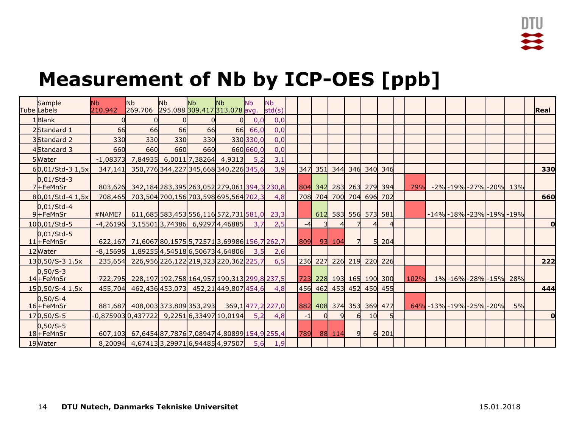

#### **Measurement of Nb by ICP-OES [ppb]**

| Sample<br>Tube <mark>Labels</mark>    | <b>Nb</b><br>210.942                    | <b>Nb</b><br>269.706                                | lNb.      | Nb. | lNb.<br>295.088 309.417 313.078 avg. std(s) | <b>Nb</b> | <b>Nb</b> |            |            |        |     |                         |           |            |                            |  |                          | <b>Real</b>  |
|---------------------------------------|-----------------------------------------|-----------------------------------------------------|-----------|-----|---------------------------------------------|-----------|-----------|------------|------------|--------|-----|-------------------------|-----------|------------|----------------------------|--|--------------------------|--------------|
| 1Blank                                |                                         |                                                     |           |     |                                             | 0,0       | 0,0       |            |            |        |     |                         |           |            |                            |  |                          |              |
| 2Standard 1                           | 66                                      | <b>66</b>                                           | <b>66</b> | 66  | <b>66</b>                                   | 66,0      | 0,0       |            |            |        |     |                         |           |            |                            |  |                          |              |
| 3Standard 2                           | 330                                     | 330                                                 | 330       | 330 |                                             | 330 330,0 | 0, 0      |            |            |        |     |                         |           |            |                            |  |                          |              |
| 4Standard 3                           | 660                                     | 660                                                 | 660       | 660 |                                             | 660 660,0 | 0, 0      |            |            |        |     |                         |           |            |                            |  |                          |              |
| 5Water                                | $-1,08373$                              |                                                     |           |     | 7,84935 6,0011 7,38264 4,9313               | 5.2       | 3,1       |            |            |        |     |                         |           |            |                            |  |                          |              |
| 60,01/Std-3 1,5x                      | 347,141                                 |                                                     |           |     | 350, 776 344, 227 345, 668 340, 226 345, 6  |           | 3,9       |            |            |        |     | 347 351 344 346 340 346 |           |            |                            |  |                          | 330          |
| $0,01/Std-3$<br>7 <sup>+</sup> FeMnSr |                                         | 803,626 342,184 283,395 263,052 279,061 394,3 230,8 |           |     |                                             |           |           |            |            |        |     | 804 342 283 263 279 394 |           | <b>79%</b> |                            |  | -2% -19% -27% -20%  13%  |              |
| 80,01/Std-4 1,5x                      | 708,465                                 |                                                     |           |     | 703,504 700,156 703,598 695,564 702,3       |           | 4,8       |            |            |        |     | 708 704 700 704 696 702 |           |            |                            |  |                          | 660          |
| $0,01/Std-4$<br>$9 + FeMn$            | #NAME?                                  |                                                     |           |     | 611,685 583,453 556,116 572,731 581,0       |           | 23,3      |            |            |        |     | 612 583 556 573 581     |           |            |                            |  | -14% -18% -23% -19% -19% |              |
| 100,01/Std-5                          | $-4,26196$                              |                                                     |           |     | 3,15501 3,74386 6,9297 4,46885              | 3,7       | 2,5       | $-4$       | 31         |        |     |                         |           |            |                            |  |                          | $\mathbf 0$  |
| $0,01/Std-5$<br>$11$ +FeMnSr          |                                         | 622,167 71,6067 80,1575 5,72571 3,69986 156,7 262,7 |           |     |                                             |           |           | <b>809</b> |            | 93 104 |     |                         | 204       |            |                            |  |                          |              |
| 12Water                               |                                         | $-8,15695$ 1,89255 4,54518 6,50673 4,64806          |           |     |                                             | 3,5       | 2,6       |            |            |        |     |                         |           |            |                            |  |                          |              |
| $13 0,50/S-31,5x$                     |                                         | 235,654 226,956 226,122 219,323 220,362 225,7       |           |     |                                             |           | 6, 5      |            | 236 227    |        |     | 226 219 220 226         |           |            |                            |  |                          | 222          |
| $0,50/S-3$<br>14+FeMnSr               |                                         | 722,795 228,197 192,758 164,957 190,313 299,8 237,5 |           |     |                                             |           |           |            |            |        |     | 223 228 193 165 190 300 |           | 102%       |                            |  | 1%-16%-28%-15% 28%       |              |
| 150,50/S-4 1,5x                       | 455,704                                 | 462,436 453,073 452,21 449,807 454,6                |           |     |                                             |           | 4,8       |            |            |        |     | 456 462 453 452 450 455 |           |            |                            |  |                          | 444          |
| $ 0,50/S-4$<br>16+FeMnSr              |                                         | 881,687 408,003 373,809 353,293 369,1 477,2 227,0   |           |     |                                             |           |           |            |            |        |     | 882 408 374 353 369 477 |           |            | $64\%$ -13% -19% -25% -20% |  | 5%                       |              |
| 170,50/S-5                            | -0,8759030,437722 9,22516,33497 10,0194 |                                                     |           |     |                                             | 5.2       | 4,8       | $-1$       |            |        |     | 10                      |           |            |                            |  |                          | $\mathbf{0}$ |
| $0,50/S-5$<br>18+FeMnSr               |                                         | 607,103 67,6454 87,7876 7,08947 4,80899 154,9 255,4 |           |     |                                             |           |           |            | 789 88 114 |        | -91 |                         | $6 \ 201$ |            |                            |  |                          |              |
| 19 Water                              |                                         | 8,20094 4,67413 3,29971 6,94485 4,97507             |           |     |                                             | 5,6       | 1,9       |            |            |        |     |                         |           |            |                            |  |                          |              |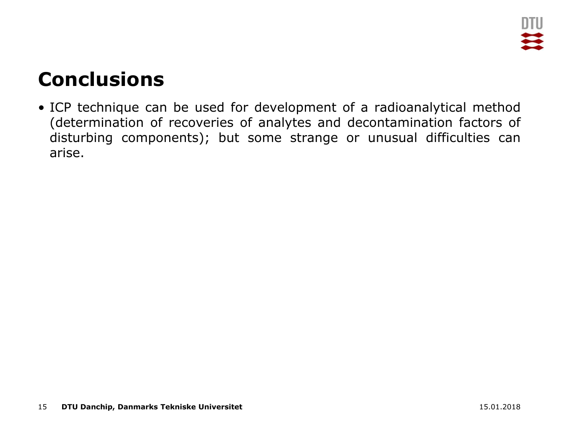

### **Conclusions**

• ICP technique can be used for development of a radioanalytical method (determination of recoveries of analytes and decontamination factors of disturbing components); but some strange or unusual difficulties can arise.